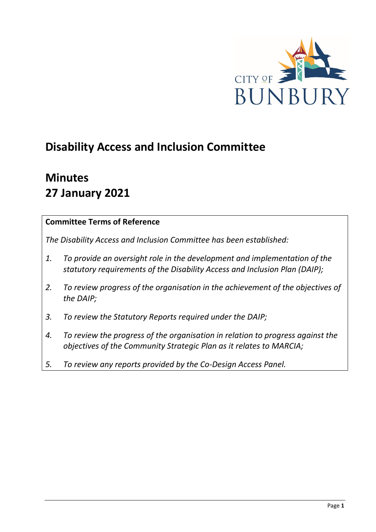

# **Disability Access and Inclusion Committee**

# **Minutes 27 January 2021**

### **Committee Terms of Reference**

*The Disability Access and Inclusion Committee has been established:* 

- *1. To provide an oversight role in the development and implementation of the statutory requirements of the Disability Access and Inclusion Plan (DAIP);*
- *2. To review progress of the organisation in the achievement of the objectives of the DAIP;*
- *3. To review the Statutory Reports required under the DAIP;*
- *4. To review the progress of the organisation in relation to progress against the objectives of the Community Strategic Plan as it relates to MARCIA;*
- *5. To review any reports provided by the Co-Design Access Panel.*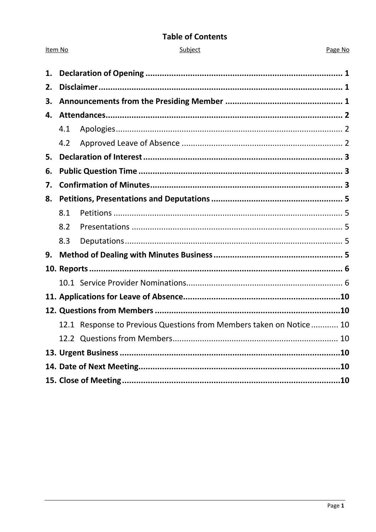### **Table of Contents**

| L | inie |  |  |
|---|------|--|--|
|   |      |  |  |

Item No

#### Page No

| 1. |     |                                                                     |  |
|----|-----|---------------------------------------------------------------------|--|
| 2. |     |                                                                     |  |
| 3. |     |                                                                     |  |
| 4. |     |                                                                     |  |
|    | 4.1 |                                                                     |  |
|    | 4.2 |                                                                     |  |
| 5. |     |                                                                     |  |
| 6. |     |                                                                     |  |
| 7. |     |                                                                     |  |
| 8. |     |                                                                     |  |
|    | 8.1 |                                                                     |  |
|    | 8.2 |                                                                     |  |
|    | 8.3 |                                                                     |  |
| 9. |     |                                                                     |  |
|    |     |                                                                     |  |
|    |     |                                                                     |  |
|    |     |                                                                     |  |
|    |     |                                                                     |  |
|    |     | 12.1 Response to Previous Questions from Members taken on Notice 10 |  |
|    |     |                                                                     |  |
|    |     |                                                                     |  |
|    |     |                                                                     |  |
|    |     |                                                                     |  |
|    |     |                                                                     |  |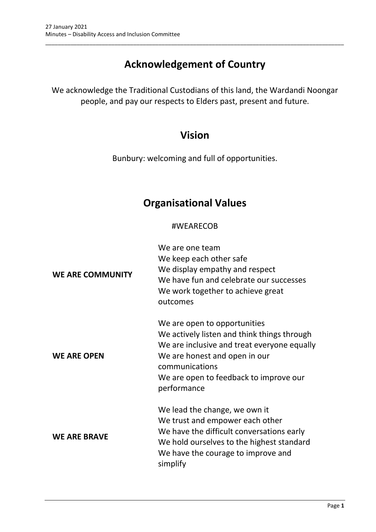# **Acknowledgement of Country**

\_\_\_\_\_\_\_\_\_\_\_\_\_\_\_\_\_\_\_\_\_\_\_\_\_\_\_\_\_\_\_\_\_\_\_\_\_\_\_\_\_\_\_\_\_\_\_\_\_\_\_\_\_\_\_\_\_\_\_\_\_\_\_\_\_\_\_\_\_\_\_\_\_\_\_\_\_\_\_\_\_\_\_\_\_\_\_\_\_\_\_\_\_\_\_

We acknowledge the Traditional Custodians of this land, the Wardandi Noongar people, and pay our respects to Elders past, present and future.

## **Vision**

Bunbury: welcoming and full of opportunities.

## **Organisational Values**

### #WEARECOB

| <b>WE ARE COMMUNITY</b> | We are one team<br>We keep each other safe<br>We display empathy and respect<br>We have fun and celebrate our successes<br>We work together to achieve great<br>outcomes                                                               |
|-------------------------|----------------------------------------------------------------------------------------------------------------------------------------------------------------------------------------------------------------------------------------|
| <b>WE ARE OPEN</b>      | We are open to opportunities<br>We actively listen and think things through<br>We are inclusive and treat everyone equally<br>We are honest and open in our<br>communications<br>We are open to feedback to improve our<br>performance |
| <b>WE ARE BRAVE</b>     | We lead the change, we own it<br>We trust and empower each other<br>We have the difficult conversations early<br>We hold ourselves to the highest standard<br>We have the courage to improve and<br>simplify                           |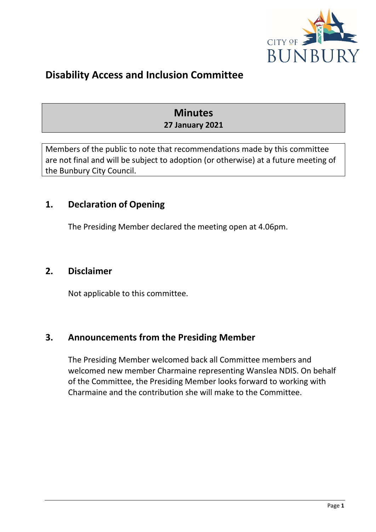

# **Disability Access and Inclusion Committee**

## **Minutes 27 January 2021**

Members of the public to note that recommendations made by this committee are not final and will be subject to adoption (or otherwise) at a future meeting of the Bunbury City Council.

## <span id="page-3-0"></span>**1. Declaration of Opening**

The Presiding Member declared the meeting open at 4.06pm.

### <span id="page-3-1"></span>**2. Disclaimer**

Not applicable to this committee.

### <span id="page-3-2"></span>**3. Announcements from the Presiding Member**

<span id="page-3-3"></span>The Presiding Member welcomed back all Committee members and welcomed new member Charmaine representing Wanslea NDIS. On behalf of the Committee, the Presiding Member looks forward to working with Charmaine and the contribution she will make to the Committee.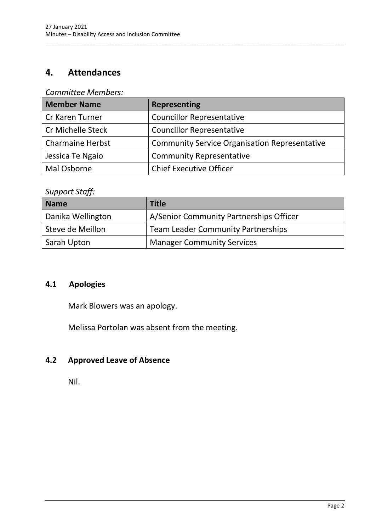## **4. Attendances**

#### *Committee Members:*

| <b>Member Name</b>      | <b>Representing</b>                                  |
|-------------------------|------------------------------------------------------|
| Cr Karen Turner         | <b>Councillor Representative</b>                     |
| Cr Michelle Steck       | <b>Councillor Representative</b>                     |
| <b>Charmaine Herbst</b> | <b>Community Service Organisation Representative</b> |
| Jessica Te Ngaio        | <b>Community Representative</b>                      |
| Mal Osborne             | <b>Chief Executive Officer</b>                       |

\_\_\_\_\_\_\_\_\_\_\_\_\_\_\_\_\_\_\_\_\_\_\_\_\_\_\_\_\_\_\_\_\_\_\_\_\_\_\_\_\_\_\_\_\_\_\_\_\_\_\_\_\_\_\_\_\_\_\_\_\_\_\_\_\_\_\_\_\_\_\_\_\_\_\_\_\_\_\_\_\_\_\_\_\_\_\_\_\_\_\_\_\_\_\_

### *Support Staff:*

| <b>Name</b>       | <b>Title</b>                              |
|-------------------|-------------------------------------------|
| Danika Wellington | A/Senior Community Partnerships Officer   |
| Steve de Meillon  | <b>Team Leader Community Partnerships</b> |
| Sarah Upton       | <b>Manager Community Services</b>         |

## <span id="page-4-0"></span>**4.1 Apologies**

Mark Blowers was an apology.

Melissa Portolan was absent from the meeting.

## <span id="page-4-1"></span>**4.2 Approved Leave of Absence**

<span id="page-4-2"></span>Nil.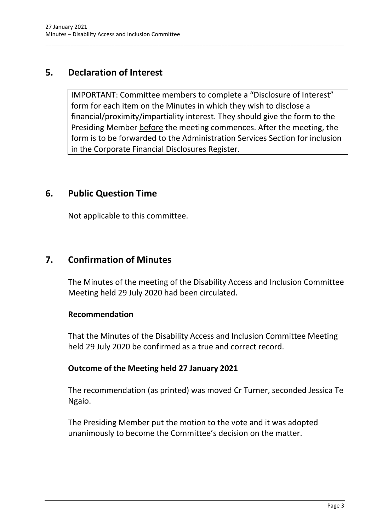## **5. Declaration of Interest**

IMPORTANT: Committee members to complete a "Disclosure of Interest" form for each item on the Minutes in which they wish to disclose a financial/proximity/impartiality interest. They should give the form to the Presiding Member before the meeting commences. After the meeting, the form is to be forwarded to the Administration Services Section for inclusion in the Corporate Financial Disclosures Register.

\_\_\_\_\_\_\_\_\_\_\_\_\_\_\_\_\_\_\_\_\_\_\_\_\_\_\_\_\_\_\_\_\_\_\_\_\_\_\_\_\_\_\_\_\_\_\_\_\_\_\_\_\_\_\_\_\_\_\_\_\_\_\_\_\_\_\_\_\_\_\_\_\_\_\_\_\_\_\_\_\_\_\_\_\_\_\_\_\_\_\_\_\_\_\_

## <span id="page-5-0"></span>**6. Public Question Time**

Not applicable to this committee.

## <span id="page-5-1"></span>**7. Confirmation of Minutes**

The Minutes of the meeting of the Disability Access and Inclusion Committee Meeting held 29 July 2020 had been circulated.

### **Recommendation**

That the Minutes of the Disability Access and Inclusion Committee Meeting held 29 July 2020 be confirmed as a true and correct record.

### **Outcome of the Meeting held 27 January 2021**

The recommendation (as printed) was moved Cr Turner, seconded Jessica Te Ngaio.

The Presiding Member put the motion to the vote and it was adopted unanimously to become the Committee's decision on the matter.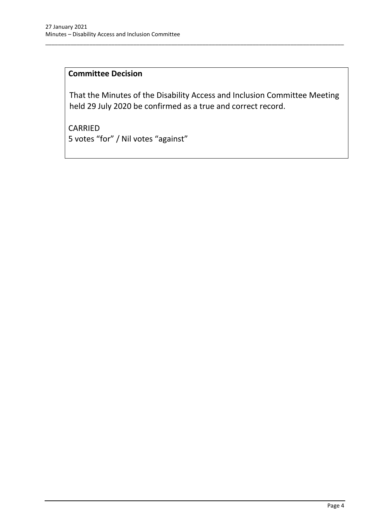## **Committee Decision**

That the Minutes of the Disability Access and Inclusion Committee Meeting held 29 July 2020 be confirmed as a true and correct record.

\_\_\_\_\_\_\_\_\_\_\_\_\_\_\_\_\_\_\_\_\_\_\_\_\_\_\_\_\_\_\_\_\_\_\_\_\_\_\_\_\_\_\_\_\_\_\_\_\_\_\_\_\_\_\_\_\_\_\_\_\_\_\_\_\_\_\_\_\_\_\_\_\_\_\_\_\_\_\_\_\_\_\_\_\_\_\_\_\_\_\_\_\_\_\_

CARRIED 5 votes "for" / Nil votes "against"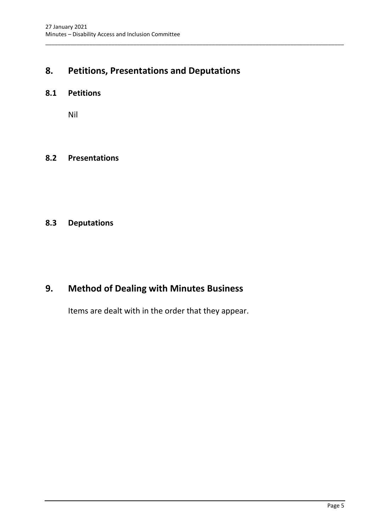## <span id="page-7-0"></span>**8. Petitions, Presentations and Deputations**

\_\_\_\_\_\_\_\_\_\_\_\_\_\_\_\_\_\_\_\_\_\_\_\_\_\_\_\_\_\_\_\_\_\_\_\_\_\_\_\_\_\_\_\_\_\_\_\_\_\_\_\_\_\_\_\_\_\_\_\_\_\_\_\_\_\_\_\_\_\_\_\_\_\_\_\_\_\_\_\_\_\_\_\_\_\_\_\_\_\_\_\_\_\_\_

#### <span id="page-7-1"></span>**8.1 Petitions**

Nil

#### <span id="page-7-2"></span>**8.2 Presentations**

### <span id="page-7-3"></span>**8.3 Deputations**

## <span id="page-7-4"></span>**9. Method of Dealing with Minutes Business**

Items are dealt with in the order that they appear.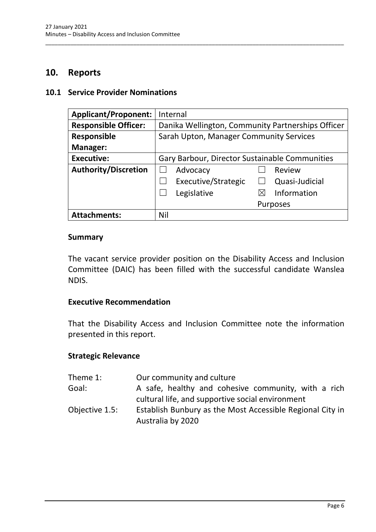### **10. Reports**

#### <span id="page-8-1"></span>**10.1 Service Provider Nominations**

| <b>Applicant/Proponent:</b> | Internal                                          |  |
|-----------------------------|---------------------------------------------------|--|
| <b>Responsible Officer:</b> | Danika Wellington, Community Partnerships Officer |  |
| <b>Responsible</b>          | Sarah Upton, Manager Community Services           |  |
| <b>Manager:</b>             |                                                   |  |
| <b>Executive:</b>           | Gary Barbour, Director Sustainable Communities    |  |
| <b>Authority/Discretion</b> | Advocacy<br>Review                                |  |
|                             | Executive/Strategic<br>Quasi-Judicial             |  |
|                             | Legislative<br>Information<br>M                   |  |
|                             | <b>Purposes</b>                                   |  |
| <b>Attachments:</b>         | Nil                                               |  |

<span id="page-8-0"></span>\_\_\_\_\_\_\_\_\_\_\_\_\_\_\_\_\_\_\_\_\_\_\_\_\_\_\_\_\_\_\_\_\_\_\_\_\_\_\_\_\_\_\_\_\_\_\_\_\_\_\_\_\_\_\_\_\_\_\_\_\_\_\_\_\_\_\_\_\_\_\_\_\_\_\_\_\_\_\_\_\_\_\_\_\_\_\_\_\_\_\_\_\_\_\_

#### **Summary**

The vacant service provider position on the Disability Access and Inclusion Committee (DAIC) has been filled with the successful candidate Wanslea NDIS.

#### **Executive Recommendation**

That the Disability Access and Inclusion Committee note the information presented in this report.

#### **Strategic Relevance**

| Theme 1:       | Our community and culture                                                      |
|----------------|--------------------------------------------------------------------------------|
| Goal:          | A safe, healthy and cohesive community, with a rich                            |
|                | cultural life, and supportive social environment                               |
| Objective 1.5: | Establish Bunbury as the Most Accessible Regional City in<br>Australia by 2020 |
|                |                                                                                |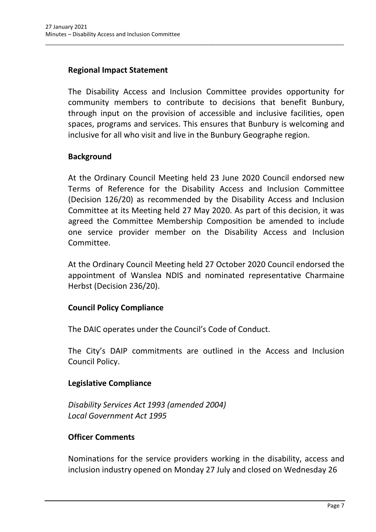### **Regional Impact Statement**

The Disability Access and Inclusion Committee provides opportunity for community members to contribute to decisions that benefit Bunbury, through input on the provision of accessible and inclusive facilities, open spaces, programs and services. This ensures that Bunbury is welcoming and inclusive for all who visit and live in the Bunbury Geographe region.

\_\_\_\_\_\_\_\_\_\_\_\_\_\_\_\_\_\_\_\_\_\_\_\_\_\_\_\_\_\_\_\_\_\_\_\_\_\_\_\_\_\_\_\_\_\_\_\_\_\_\_\_\_\_\_\_\_\_\_\_\_\_\_\_\_\_\_\_\_\_\_\_\_\_\_\_\_\_\_\_\_\_\_\_\_\_\_\_\_\_\_\_\_\_\_

### **Background**

At the Ordinary Council Meeting held 23 June 2020 Council endorsed new Terms of Reference for the Disability Access and Inclusion Committee (Decision 126/20) as recommended by the Disability Access and Inclusion Committee at its Meeting held 27 May 2020. As part of this decision, it was agreed the Committee Membership Composition be amended to include one service provider member on the Disability Access and Inclusion Committee.

At the Ordinary Council Meeting held 27 October 2020 Council endorsed the appointment of Wanslea NDIS and nominated representative Charmaine Herbst (Decision 236/20).

### **Council Policy Compliance**

The DAIC operates under the Council's Code of Conduct.

The City's DAIP commitments are outlined in the Access and Inclusion Council Policy.

### **Legislative Compliance**

*Disability Services Act 1993 (amended 2004) Local Government Act 1995*

### **Officer Comments**

Nominations for the service providers working in the disability, access and inclusion industry opened on Monday 27 July and closed on Wednesday 26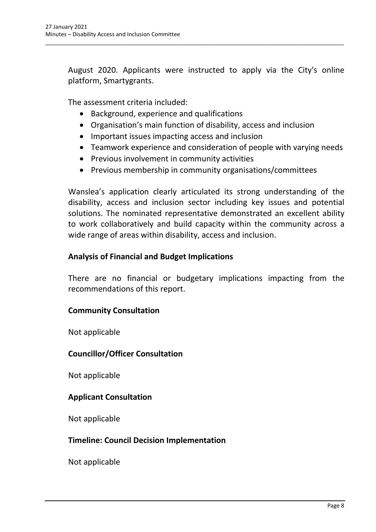August 2020. Applicants were instructed to apply via the City's online platform, Smartygrants.

\_\_\_\_\_\_\_\_\_\_\_\_\_\_\_\_\_\_\_\_\_\_\_\_\_\_\_\_\_\_\_\_\_\_\_\_\_\_\_\_\_\_\_\_\_\_\_\_\_\_\_\_\_\_\_\_\_\_\_\_\_\_\_\_\_\_\_\_\_\_\_\_\_\_\_\_\_\_\_\_\_\_\_\_\_\_\_\_\_\_\_\_\_\_\_

The assessment criteria included:

- Background, experience and qualifications
- Organisation's main function of disability, access and inclusion
- Important issues impacting access and inclusion
- Teamwork experience and consideration of people with varying needs
- Previous involvement in community activities
- Previous membership in community organisations/committees

Wanslea's application clearly articulated its strong understanding of the disability, access and inclusion sector including key issues and potential solutions. The nominated representative demonstrated an excellent ability to work collaboratively and build capacity within the community across a wide range of areas within disability, access and inclusion.

### **Analysis of Financial and Budget Implications**

There are no financial or budgetary implications impacting from the recommendations of this report.

### **Community Consultation**

Not applicable

### **Councillor/Officer Consultation**

Not applicable

### **Applicant Consultation**

Not applicable

### **Timeline: Council Decision Implementation**

Not applicable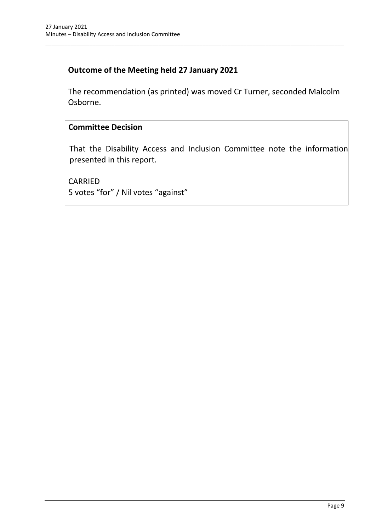### **Outcome of the Meeting held 27 January 2021**

The recommendation (as printed) was moved Cr Turner, seconded Malcolm Osborne.

\_\_\_\_\_\_\_\_\_\_\_\_\_\_\_\_\_\_\_\_\_\_\_\_\_\_\_\_\_\_\_\_\_\_\_\_\_\_\_\_\_\_\_\_\_\_\_\_\_\_\_\_\_\_\_\_\_\_\_\_\_\_\_\_\_\_\_\_\_\_\_\_\_\_\_\_\_\_\_\_\_\_\_\_\_\_\_\_\_\_\_\_\_\_\_

### **Committee Decision**

That the Disability Access and Inclusion Committee note the information presented in this report.

<span id="page-11-0"></span>CARRIED 5 votes "for" / Nil votes "against"